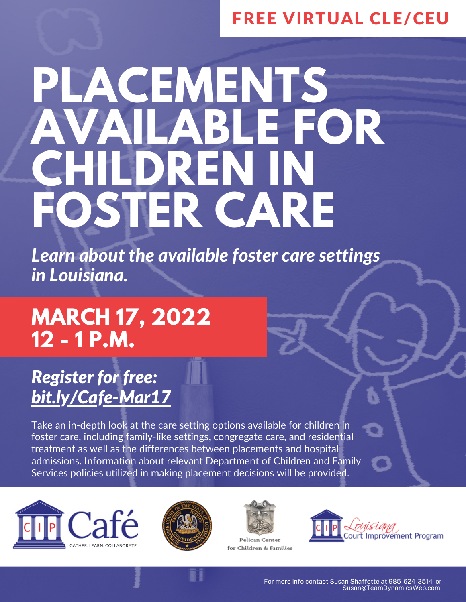### FREE VIRTUAL CLE/CEU

# **PLACEMENTS AVAILABLE FOR CHILDREN IN FOSTER CARE**

*Learn about the available foster care settings in Louisiana.*

## **MARCH 17, 2022 12 - 1 P.M.**

### *Register for free: [bit.ly/Cafe-Mar17](https://bit.ly/Cafe-Mar17)*

Take an in-depth look at the care setting options available for children in foster care, including family-like settings, congregate care, and residential treatment as well as the differences between placements and hospital admissions. Information about relevant Department of Children and Family Services policies utilized in making placement decisions will be provided.







Pelican Center for Children & Families

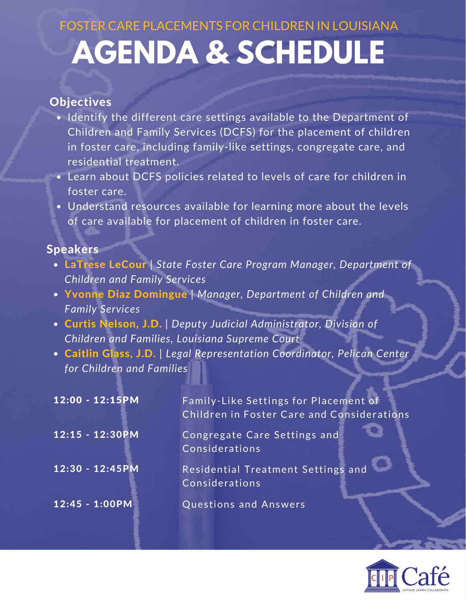# **AGENDA & SCHEDULE** FOSTER CARE PLACEMENTS FOR CHILDREN IN LOUISIANA

#### **Objectives**

- Identify the different care settings available to the Department of Children and Family Services (DCFS) for the placement of children in foster care, including family-like settings, congregate care, and residential treatment.
- Learn about DCFS policies related to levels of care for children in foster care.
- Understand resources available for learning more about the levels of care available for placement of children in foster care.

#### **Speakers**

- LaTrese LeCour | *State Foster Care Program Manager, Department of Children and Family Services*
- Yvonne Diaz Domingue | *Manager, Department of Children and Family Services*
- Curtis Nelson, J.D. *| Deputy Judicial Administrator, Division of Children and Families, Louisiana Supreme Court*
- Caitlin Glass, J.D. | *Legal Representation Coordinator, Pelican Center for Children and Families*

| $12:00 - 12:15PM$ | Family-Like Settings for Placement of<br>Children in Foster Care and Considerations |
|-------------------|-------------------------------------------------------------------------------------|
| 12:15 - 12:30PM   | Congregate Care Settings and<br>Considerations <sup>'</sup>                         |
| 12:30 - 12:45PM   | Residential Treatment Settings and<br>Considerations                                |
| $12:45 - 1:00PM$  | Questions and Answers                                                               |

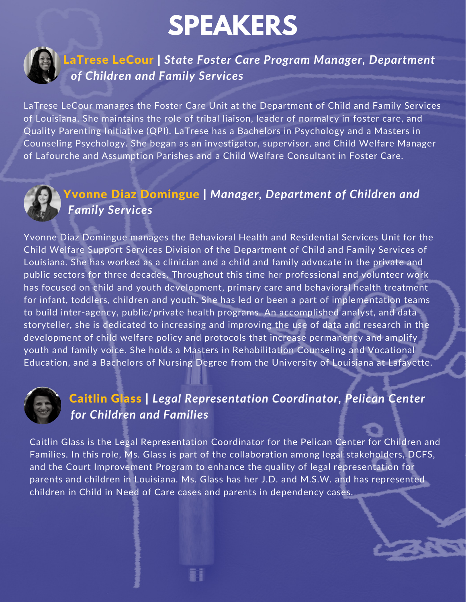# **SPEAKERS**



LaTrese LeCour | *State Foster Care Program Manager, Department of Children and Family Services*

LaTrese LeCour manages the Foster Care Unit at the Department of Child and Family Services of Louisiana. She maintains the role of tribal liaison, leader of normalcy in foster care, and Quality Parenting Initiative (QPI). LaTrese has a Bachelors in Psychology and a Masters in Counseling Psychology. She began as an investigator, supervisor, and Child Welfare Manager of Lafourche and Assumption Parishes and a Child Welfare Consultant in Foster Care.



#### Yvonne Diaz Domingue | *Manager, Department of Children and Family Services*

Yvonne Diaz Domingue manages the Behavioral Health and Residential Services Unit for the Child Welfare Support Services Division of the Department of Child and Family Services of Louisiana. She has worked as a clinician and a child and family advocate in the private and public sectors for three decades. Throughout this time her professional and volunteer work has focused on child and youth development, primary care and behavioral health treatment for infant, toddlers, children and youth. She has led or been a part of implementation teams to build inter-agency, public/private health programs. An accomplished analyst, and data storyteller, she is dedicated to increasing and improving the use of data and research in the development of child welfare policy and protocols that increase permanency and amplify youth and family voice. She holds a Masters in Rehabilitation Counseling and Vocational Education, and a Bachelors of Nursing Degree from the University of Louisiana at Lafayette.



#### Caitlin Glass | *Legal Representation Coordinator, Pelican Center for Children and Families*

Caitlin Glass is the Legal Representation Coordinator for the Pelican Center for Children and Families. In this role, Ms. Glass is part of the collaboration among legal stakeholders, DCFS, and the Court Improvement Program to enhance the quality of legal representation for parents and children in Louisiana. Ms. Glass has her J.D. and M.S.W. and has represented children in Child in Need of Care cases and parents in dependency cases.